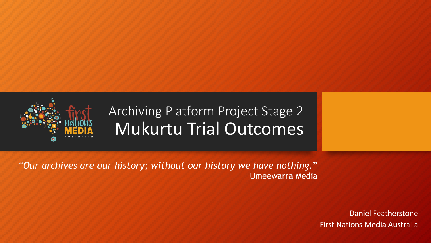

### Archiving Platform Project Stage 2 Mukurtu Trial Outcomes

*"Our archives are our history; without our history we have nothing.*" Umeewarra Media

> Daniel Featherstone First Nations Media Australia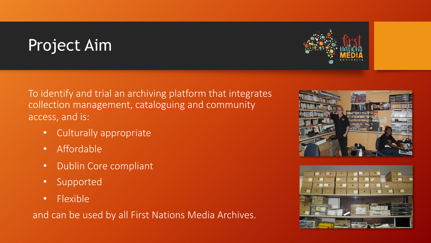## Project Aim

To identify and trial an archiving platform that integrates collection management, cataloguing and community access, and is:

- Culturally appropriate
- Affordable
- Dublin Core compliant
- Supported
- Flexible

and can be used by all First Nations Media Archives.





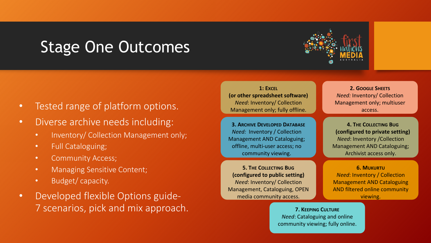### Stage One Outcomes



- Tested range of platform options.
- Diverse archive needs including:
	- Inventory/ Collection Management only;
	- Full Cataloguing;
	- Community Access;
	- Managing Sensitive Content;
	- Budget/ capacity.
- Developed flexible Options guide-7 scenarios, pick and mix approach.

**1: EXCEL (or other spreadsheet software)** *Need*: Inventory/ Collection Management only; fully offline.

**3. ARCHIVE DEVELOPED DATABASE** *Need:* Inventory / Collection Management AND Cataloguing; offline, multi-user access; no community viewing.

**5. THE COLLECTING BUG (configured to public setting)** *Need*: Inventory/ Collection Management, Cataloguing, OPEN media community access.

**2. GOOGLE SHEETS** *Need:* Inventory/ Collection Management only; multiuser access.

**4. THE COLLECTING BUG (configured to private setting)**  *Need*: Inventory /Collection Management AND Cataloguing; Archivist access only.

**6. MUKURTU** *Need*: Inventory / Collection Management AND Cataloguing AND filtered online community viewing.

**7. KEEPING CULTURE** *Need*: Cataloguing and online community viewing; fully online.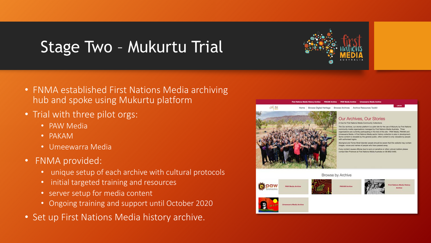## Stage Two – Mukurtu Trial

- FNMA established First Nations Media archiving hub and spoke using Mukurtu platform
- Trial with three pilot orgs:
	- PAW Media
	- PAKAM
	- Umeewarra Media
- FNMA provided:
	- unique setup of each archive with cultural protocols
	- initial targeted training and resources
	- server setup for media content
	- Ongoing training and support until October 2020
- Set up First Nations Media history archive.



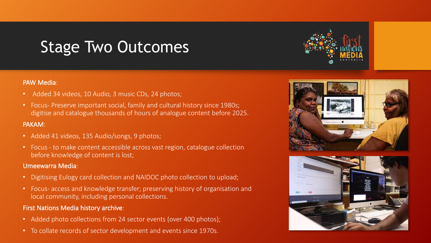## Stage Two Outcomes

#### PAW Media:

- Added 34 videos, 10 Audio, 3 music CDs, 24 photos;
- Focus- Preserve important social, family and cultural history since 1980s; digitise and catalogue thousands of hours of analogue content before 2025.

### PAKAM:

- Added 41 videos, 135 Audio/songs, 9 photos;
- Focus to make content accessible across vast region, catalogue collection before knowledge of content is lost;

#### Umeewarra Media:

- Digitising Eulogy card collection and NAIDOC photo collection to upload;
- Focus- access and knowledge transfer; preserving history of organisation and local community, including personal collections.

### First Nations Media history archive:

- Added photo collections from 24 sector events (over 400 photos);
- To collate records of sector development and events since 1970s.





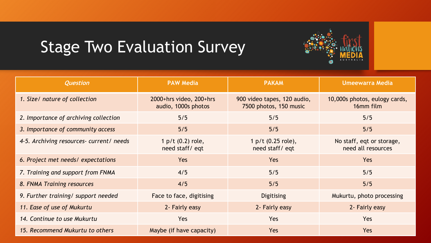# Stage Two Evaluation Survey

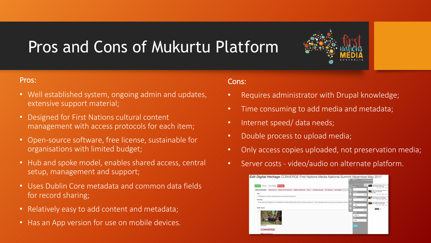# Pros and Cons of Mukurtu Platform



- Well established system, ongoing admin and updates, extensive support material;
- Designed for First Nations cultural content management with access protocols for each item;
- Open-source software, free license, sustainable for organisations with limited budget;
- Hub and spoke model, enables shared access, central setup, management and support;
- Uses Dublin Core metadata and common data fields for record sharing;
- Relatively easy to add content and metadata;
- Has an App version for use on mobile devices.

### Cons:

- Requires administrator with Drupal knowledge;
- Time consuming to add media and metadata;
- Internet speed/ data needs;
- Double process to upload media;
- Only access copies uploaded, not preservation media;
- Server costs video/audio on alternate platform.

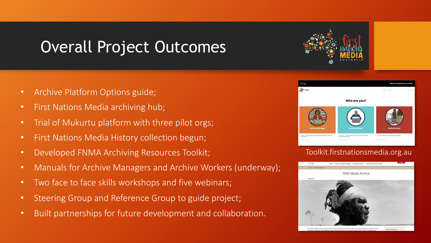## Overall Project Outcomes

- Archive Platform Options guide;
- First Nations Media archiving hub;
- Trial of Mukurtu platform with three pilot orgs;
- First Nations Media History collection begun;
- Developed FNMA Archiving Resources Toolkit;
- Manuals for Archive Managers and Archive Workers (underway);
- Two face to face skills workshops and five webinars;
- Steering Group and Reference Group to guide project;
- Built partnerships for future development and collaboration.



### Toolkit.firstnationsmedia.org.au

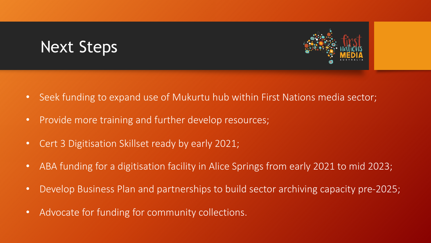## Next Steps



- Provide more training and further develop resources;
- Cert 3 Digitisation Skillset ready by early 2021;
- ABA funding for a digitisation facility in Alice Springs from early 2021 to mid 2023;
- Develop Business Plan and partnerships to build sector archiving capacity pre-2025;
- Advocate for funding for community collections.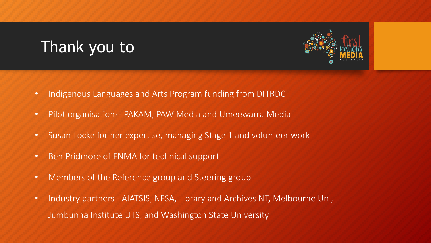## Thank you to



- Indigenous Languages and Arts Program funding from DITRDC
- Pilot organisations- PAKAM, PAW Media and Umeewarra Media
- Susan Locke for her expertise, managing Stage 1 and volunteer work
- Ben Pridmore of FNMA for technical support
- Members of the Reference group and Steering group
- Industry partners AIATSIS, NFSA, Library and Archives NT, Melbourne Uni, Jumbunna Institute UTS, and Washington State University